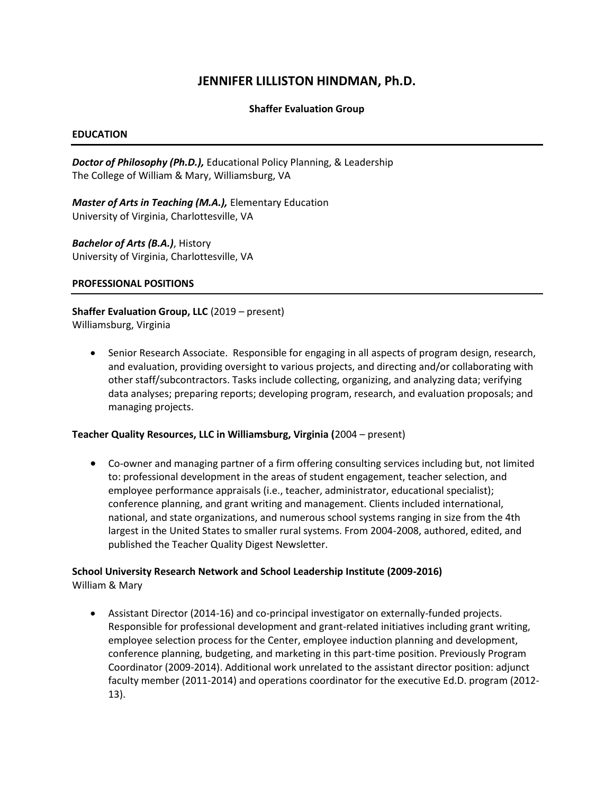## **JENNIFER LILLISTON HINDMAN, Ph.D.**

### **Shaffer Evaluation Group**

#### **EDUCATION**

*Doctor of Philosophy (Ph.D.),* Educational Policy Planning, & Leadership The College of William & Mary, Williamsburg, VA

*Master of Arts in Teaching (M.A.),* Elementary Education University of Virginia, Charlottesville, VA

*Bachelor of Arts (B.A.)*, History University of Virginia, Charlottesville, VA

#### **PROFESSIONAL POSITIONS**

**Shaffer Evaluation Group, LLC** (2019 – present) Williamsburg, Virginia

• Senior Research Associate. Responsible for engaging in all aspects of program design, research, and evaluation, providing oversight to various projects, and directing and/or collaborating with other staff/subcontractors. Tasks include collecting, organizing, and analyzing data; verifying data analyses; preparing reports; developing program, research, and evaluation proposals; and managing projects.

#### **Teacher Quality Resources, LLC in Williamsburg, Virginia (**2004 – present)

• Co-owner and managing partner of a firm offering consulting services including but, not limited to: professional development in the areas of student engagement, teacher selection, and employee performance appraisals (i.e., teacher, administrator, educational specialist); conference planning, and grant writing and management. Clients included international, national, and state organizations, and numerous school systems ranging in size from the 4th largest in the United States to smaller rural systems. From 2004-2008, authored, edited, and published the Teacher Quality Digest Newsletter.

# **School University Research Network and School Leadership Institute (2009-2016)**

William & Mary

• Assistant Director (2014-16) and co-principal investigator on externally-funded projects. Responsible for professional development and grant-related initiatives including grant writing, employee selection process for the Center, employee induction planning and development, conference planning, budgeting, and marketing in this part-time position. Previously Program Coordinator (2009-2014). Additional work unrelated to the assistant director position: adjunct faculty member (2011-2014) and operations coordinator for the executive Ed.D. program (2012- 13).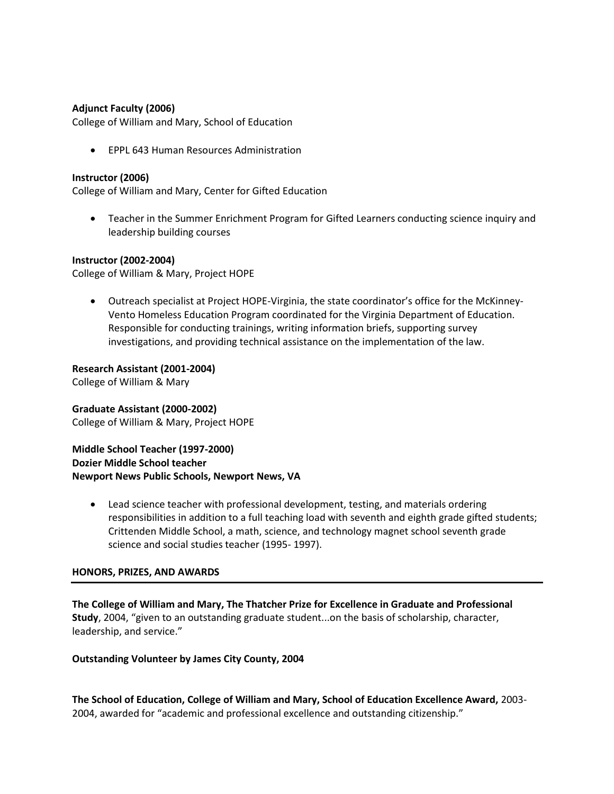### **Adjunct Faculty (2006)**

College of William and Mary, School of Education

• EPPL 643 Human Resources Administration

#### **Instructor (2006)**

College of William and Mary, Center for Gifted Education

• Teacher in the Summer Enrichment Program for Gifted Learners conducting science inquiry and leadership building courses

#### **Instructor (2002-2004)**

College of William & Mary, Project HOPE

• Outreach specialist at Project HOPE-Virginia, the state coordinator's office for the McKinney-Vento Homeless Education Program coordinated for the Virginia Department of Education. Responsible for conducting trainings, writing information briefs, supporting survey investigations, and providing technical assistance on the implementation of the law.

**Research Assistant (2001-2004)**

College of William & Mary

#### **Graduate Assistant (2000-2002)** College of William & Mary, Project HOPE

**Middle School Teacher (1997-2000) Dozier Middle School teacher Newport News Public Schools, Newport News, VA** 

• Lead science teacher with professional development, testing, and materials ordering responsibilities in addition to a full teaching load with seventh and eighth grade gifted students; Crittenden Middle School, a math, science, and technology magnet school seventh grade science and social studies teacher (1995- 1997).

### **HONORS, PRIZES, AND AWARDS**

**The College of William and Mary, The Thatcher Prize for Excellence in Graduate and Professional Study**, 2004, "given to an outstanding graduate student...on the basis of scholarship, character, leadership, and service."

### **Outstanding Volunteer by James City County, 2004**

**The School of Education, College of William and Mary, School of Education Excellence Award,** 2003- 2004, awarded for "academic and professional excellence and outstanding citizenship."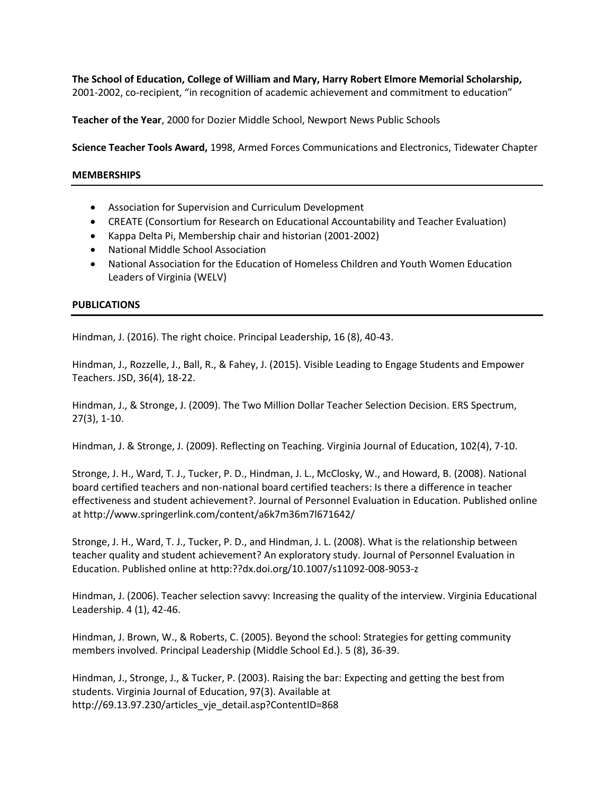**The School of Education, College of William and Mary, Harry Robert Elmore Memorial Scholarship,** 2001-2002, co-recipient, "in recognition of academic achievement and commitment to education"

**Teacher of the Year**, 2000 for Dozier Middle School, Newport News Public Schools

**Science Teacher Tools Award,** 1998, Armed Forces Communications and Electronics, Tidewater Chapter

#### **MEMBERSHIPS**

- Association for Supervision and Curriculum Development
- CREATE (Consortium for Research on Educational Accountability and Teacher Evaluation)
- Kappa Delta Pi, Membership chair and historian (2001-2002)
- National Middle School Association
- National Association for the Education of Homeless Children and Youth Women Education Leaders of Virginia (WELV)

### **PUBLICATIONS**

Hindman, J. (2016). The right choice. Principal Leadership, 16 (8), 40-43.

Hindman, J., Rozzelle, J., Ball, R., & Fahey, J. (2015). Visible Leading to Engage Students and Empower Teachers. JSD, 36(4), 18-22.

Hindman, J., & Stronge, J. (2009). The Two Million Dollar Teacher Selection Decision. ERS Spectrum, 27(3), 1-10.

Hindman, J. & Stronge, J. (2009). Reflecting on Teaching. Virginia Journal of Education, 102(4), 7-10.

Stronge, J. H., Ward, T. J., Tucker, P. D., Hindman, J. L., McClosky, W., and Howard, B. (2008). National board certified teachers and non-national board certified teachers: Is there a difference in teacher effectiveness and student achievement?. Journal of Personnel Evaluation in Education. Published online at http://www.springerlink.com/content/a6k7m36m7l671642/

Stronge, J. H., Ward, T. J., Tucker, P. D., and Hindman, J. L. (2008). What is the relationship between teacher quality and student achievement? An exploratory study. Journal of Personnel Evaluation in Education. Published online at http:??dx.doi.org/10.1007/s11092-008-9053-z

Hindman, J. (2006). Teacher selection savvy: Increasing the quality of the interview. Virginia Educational Leadership. 4 (1), 42-46.

Hindman, J. Brown, W., & Roberts, C. (2005). Beyond the school: Strategies for getting community members involved. Principal Leadership (Middle School Ed.). 5 (8), 36-39.

Hindman, J., Stronge, J., & Tucker, P. (2003). Raising the bar: Expecting and getting the best from students. Virginia Journal of Education, 97(3). Available at http://69.13.97.230/articles\_vje\_detail.asp?ContentID=868